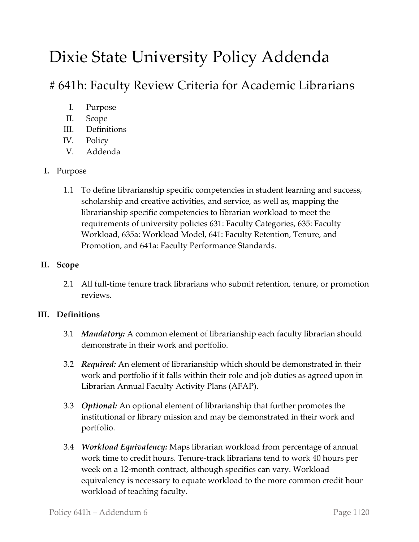# Dixie State University Policy Addenda

# # 641h: Faculty Review Criteria for Academic Librarians

- I. Purpose
- II. Scope
- III. Definitions
- IV. Policy
- V. Addenda

# **I.** Purpose

1.1 To define librarianship specific competencies in student learning and success, scholarship and creative activities, and service, as well as, mapping the librarianship specific competencies to librarian workload to meet the requirements of university policies 631: Faculty Categories, 635: Faculty Workload, 635a: Workload Model, 641: Faculty Retention, Tenure, and Promotion, and 641a: Faculty Performance Standards.

# **II. Scope**

2.1 All full-time tenure track librarians who submit retention, tenure, or promotion reviews.

# **III. Definitions**

- 3.1 *Mandatory:* A common element of librarianship each faculty librarian should demonstrate in their work and portfolio.
- 3.2 *Required:* An element of librarianship which should be demonstrated in their work and portfolio if it falls within their role and job duties as agreed upon in Librarian Annual Faculty Activity Plans (AFAP).
- 3.3 *Optional:* An optional element of librarianship that further promotes the institutional or library mission and may be demonstrated in their work and portfolio.
- 3.4 *Workload Equivalency:* Maps librarian workload from percentage of annual work time to credit hours. Tenure-track librarians tend to work 40 hours per week on a 12-month contract, although specifics can vary. Workload equivalency is necessary to equate workload to the more common credit hour workload of teaching faculty.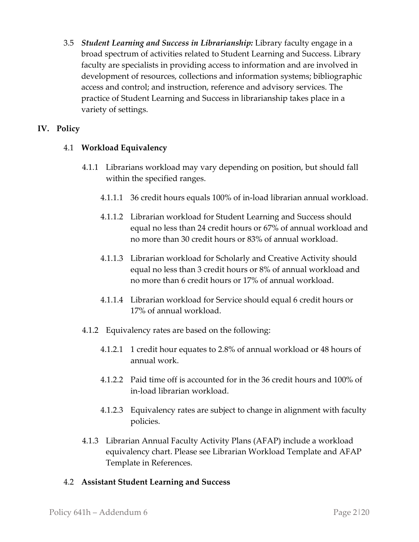3.5 *Student Learning and Success in Librarianship:* Library faculty engage in a broad spectrum of activities related to Student Learning and Success. Library faculty are specialists in providing access to information and are involved in development of resources, collections and information systems; bibliographic access and control; and instruction, reference and advisory services. The practice of Student Learning and Success in librarianship takes place in a variety of settings.

# **IV. Policy**

# 4.1 **Workload Equivalency**

- 4.1.1 Librarians workload may vary depending on position, but should fall within the specified ranges.
	- 4.1.1.1 36 credit hours equals 100% of in-load librarian annual workload.
	- 4.1.1.2 Librarian workload for Student Learning and Success should equal no less than 24 credit hours or 67% of annual workload and no more than 30 credit hours or 83% of annual workload.
	- 4.1.1.3 Librarian workload for Scholarly and Creative Activity should equal no less than 3 credit hours or 8% of annual workload and no more than 6 credit hours or 17% of annual workload.
	- 4.1.1.4 Librarian workload for Service should equal 6 credit hours or 17% of annual workload.
- 4.1.2 Equivalency rates are based on the following:
	- 4.1.2.1 1 credit hour equates to 2.8% of annual workload or 48 hours of annual work.
	- 4.1.2.2 Paid time off is accounted for in the 36 credit hours and 100% of in-load librarian workload.
	- 4.1.2.3 Equivalency rates are subject to change in alignment with faculty policies.
- 4.1.3 Librarian Annual Faculty Activity Plans (AFAP) include a workload equivalency chart. Please see Librarian Workload Template and AFAP Template in References.

# 4.2 **Assistant Student Learning and Success**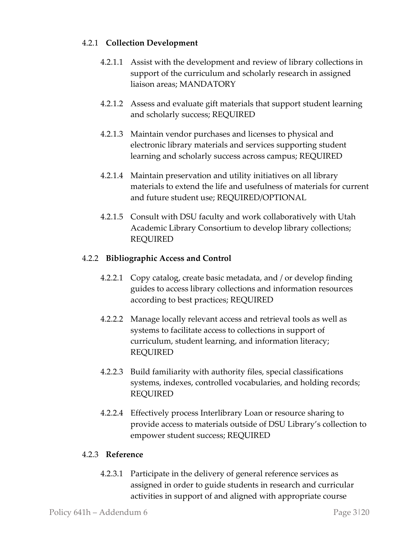# 4.2.1 **Collection Development**

- 4.2.1.1 Assist with the development and review of library collections in support of the curriculum and scholarly research in assigned liaison areas; MANDATORY
- 4.2.1.2 Assess and evaluate gift materials that support student learning and scholarly success; REQUIRED
- 4.2.1.3 Maintain vendor purchases and licenses to physical and electronic library materials and services supporting student learning and scholarly success across campus; REQUIRED
- 4.2.1.4 Maintain preservation and utility initiatives on all library materials to extend the life and usefulness of materials for current and future student use; REQUIRED/OPTIONAL
- 4.2.1.5 Consult with DSU faculty and work collaboratively with Utah Academic Library Consortium to develop library collections; REQUIRED

# 4.2.2 **Bibliographic Access and Control**

- 4.2.2.1 Copy catalog, create basic metadata, and / or develop finding guides to access library collections and information resources according to best practices; REQUIRED
- 4.2.2.2 Manage locally relevant access and retrieval tools as well as systems to facilitate access to collections in support of curriculum, student learning, and information literacy; REQUIRED
- 4.2.2.3 Build familiarity with authority files, special classifications systems, indexes, controlled vocabularies, and holding records; REQUIRED
- 4.2.2.4 Effectively process Interlibrary Loan or resource sharing to provide access to materials outside of DSU Library's collection to empower student success; REQUIRED

#### 4.2.3 **Reference**

4.2.3.1 Participate in the delivery of general reference services as assigned in order to guide students in research and curricular activities in support of and aligned with appropriate course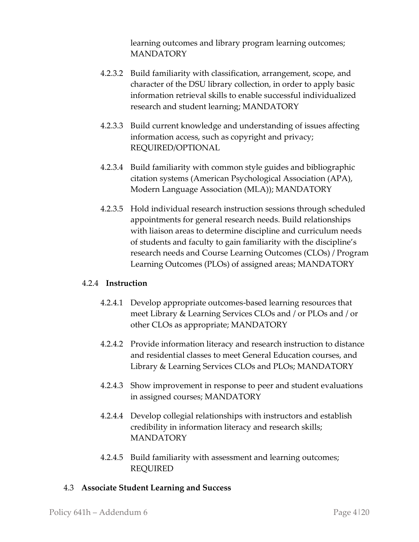learning outcomes and library program learning outcomes; MANDATORY

- 4.2.3.2 Build familiarity with classification, arrangement, scope, and character of the DSU library collection, in order to apply basic information retrieval skills to enable successful individualized research and student learning; MANDATORY
- 4.2.3.3 Build current knowledge and understanding of issues affecting information access, such as copyright and privacy; REQUIRED/OPTIONAL
- 4.2.3.4 Build familiarity with common style guides and bibliographic citation systems (American Psychological Association (APA), Modern Language Association (MLA)); MANDATORY
- 4.2.3.5 Hold individual research instruction sessions through scheduled appointments for general research needs. Build relationships with liaison areas to determine discipline and curriculum needs of students and faculty to gain familiarity with the discipline's research needs and Course Learning Outcomes (CLOs) / Program Learning Outcomes (PLOs) of assigned areas; MANDATORY

#### 4.2.4 **Instruction**

- 4.2.4.1 Develop appropriate outcomes-based learning resources that meet Library & Learning Services CLOs and / or PLOs and / or other CLOs as appropriate; MANDATORY
- 4.2.4.2 Provide information literacy and research instruction to distance and residential classes to meet General Education courses, and Library & Learning Services CLOs and PLOs; MANDATORY
- 4.2.4.3 Show improvement in response to peer and student evaluations in assigned courses; MANDATORY
- 4.2.4.4 Develop collegial relationships with instructors and establish credibility in information literacy and research skills; **MANDATORY**
- 4.2.4.5 Build familiarity with assessment and learning outcomes; REQUIRED

#### 4.3 **Associate Student Learning and Success**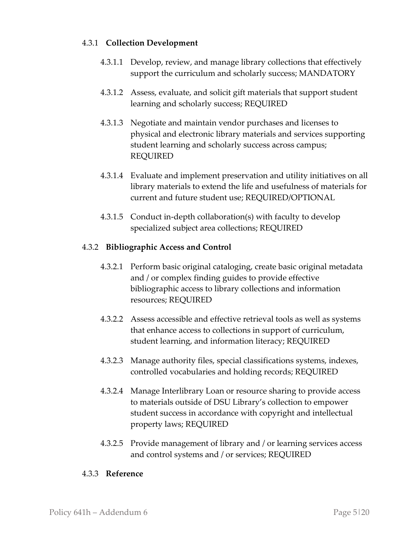# 4.3.1 **Collection Development**

- 4.3.1.1 Develop, review, and manage library collections that effectively support the curriculum and scholarly success; MANDATORY
- 4.3.1.2 Assess, evaluate, and solicit gift materials that support student learning and scholarly success; REQUIRED
- 4.3.1.3 Negotiate and maintain vendor purchases and licenses to physical and electronic library materials and services supporting student learning and scholarly success across campus; REQUIRED
- 4.3.1.4 Evaluate and implement preservation and utility initiatives on all library materials to extend the life and usefulness of materials for current and future student use; REQUIRED/OPTIONAL
- 4.3.1.5 Conduct in-depth collaboration(s) with faculty to develop specialized subject area collections; REQUIRED

#### 4.3.2 **Bibliographic Access and Control**

- 4.3.2.1 Perform basic original cataloging, create basic original metadata and / or complex finding guides to provide effective bibliographic access to library collections and information resources; REQUIRED
- 4.3.2.2 Assess accessible and effective retrieval tools as well as systems that enhance access to collections in support of curriculum, student learning, and information literacy; REQUIRED
- 4.3.2.3 Manage authority files, special classifications systems, indexes, controlled vocabularies and holding records; REQUIRED
- 4.3.2.4 Manage Interlibrary Loan or resource sharing to provide access to materials outside of DSU Library's collection to empower student success in accordance with copyright and intellectual property laws; REQUIRED
- 4.3.2.5 Provide management of library and / or learning services access and control systems and / or services; REQUIRED

#### 4.3.3 **Reference**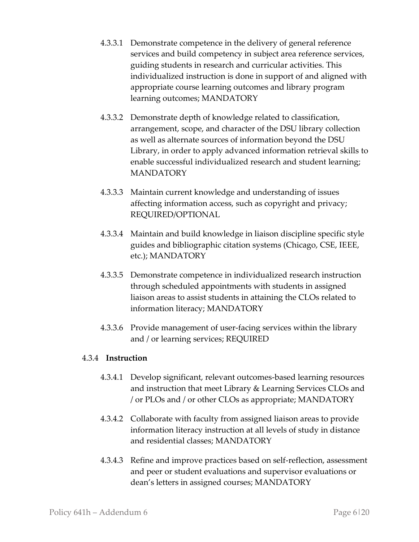- 4.3.3.1 Demonstrate competence in the delivery of general reference services and build competency in subject area reference services, guiding students in research and curricular activities. This individualized instruction is done in support of and aligned with appropriate course learning outcomes and library program learning outcomes; MANDATORY
- 4.3.3.2 Demonstrate depth of knowledge related to classification, arrangement, scope, and character of the DSU library collection as well as alternate sources of information beyond the DSU Library, in order to apply advanced information retrieval skills to enable successful individualized research and student learning; MANDATORY
- 4.3.3.3 Maintain current knowledge and understanding of issues affecting information access, such as copyright and privacy; REQUIRED/OPTIONAL
- 4.3.3.4 Maintain and build knowledge in liaison discipline specific style guides and bibliographic citation systems (Chicago, CSE, IEEE, etc.); MANDATORY
- 4.3.3.5 Demonstrate competence in individualized research instruction through scheduled appointments with students in assigned liaison areas to assist students in attaining the CLOs related to information literacy; MANDATORY
- 4.3.3.6 Provide management of user-facing services within the library and / or learning services; REQUIRED

# 4.3.4 **Instruction**

- 4.3.4.1 Develop significant, relevant outcomes-based learning resources and instruction that meet Library & Learning Services CLOs and / or PLOs and / or other CLOs as appropriate; MANDATORY
- 4.3.4.2 Collaborate with faculty from assigned liaison areas to provide information literacy instruction at all levels of study in distance and residential classes; MANDATORY
- 4.3.4.3 Refine and improve practices based on self-reflection, assessment and peer or student evaluations and supervisor evaluations or dean's letters in assigned courses; MANDATORY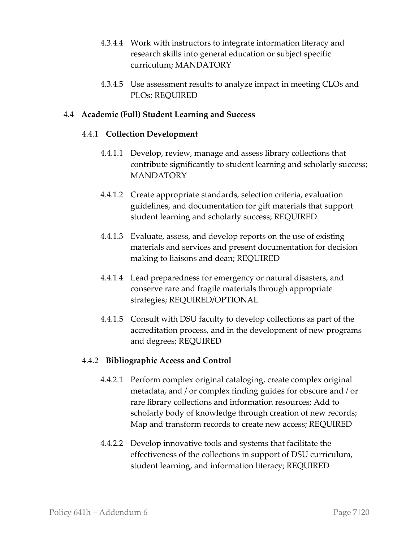- 4.3.4.4 Work with instructors to integrate information literacy and research skills into general education or subject specific curriculum; MANDATORY
- 4.3.4.5 Use assessment results to analyze impact in meeting CLOs and PLOs; REQUIRED

#### 4.4 **Academic (Full) Student Learning and Success**

#### 4.4.1 **Collection Development**

- 4.4.1.1 Develop, review, manage and assess library collections that contribute significantly to student learning and scholarly success; MANDATORY
- 4.4.1.2 Create appropriate standards, selection criteria, evaluation guidelines, and documentation for gift materials that support student learning and scholarly success; REQUIRED
- 4.4.1.3 Evaluate, assess, and develop reports on the use of existing materials and services and present documentation for decision making to liaisons and dean; REQUIRED
- 4.4.1.4 Lead preparedness for emergency or natural disasters, and conserve rare and fragile materials through appropriate strategies; REQUIRED/OPTIONAL
- 4.4.1.5 Consult with DSU faculty to develop collections as part of the accreditation process, and in the development of new programs and degrees; REQUIRED

# 4.4.2 **Bibliographic Access and Control**

- 4.4.2.1 Perform complex original cataloging, create complex original metadata, and / or complex finding guides for obscure and / or rare library collections and information resources; Add to scholarly body of knowledge through creation of new records; Map and transform records to create new access; REQUIRED
- 4.4.2.2 Develop innovative tools and systems that facilitate the effectiveness of the collections in support of DSU curriculum, student learning, and information literacy; REQUIRED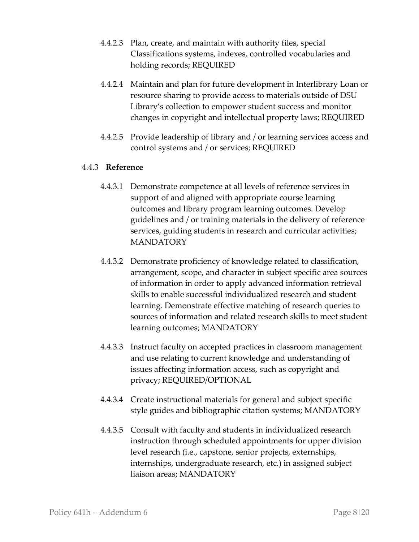- 4.4.2.3 Plan, create, and maintain with authority files, special Classifications systems, indexes, controlled vocabularies and holding records; REQUIRED
- 4.4.2.4 Maintain and plan for future development in Interlibrary Loan or resource sharing to provide access to materials outside of DSU Library's collection to empower student success and monitor changes in copyright and intellectual property laws; REQUIRED
- 4.4.2.5 Provide leadership of library and / or learning services access and control systems and / or services; REQUIRED

#### 4.4.3 **Reference**

- 4.4.3.1 Demonstrate competence at all levels of reference services in support of and aligned with appropriate course learning outcomes and library program learning outcomes. Develop guidelines and / or training materials in the delivery of reference services, guiding students in research and curricular activities; MANDATORY
- 4.4.3.2 Demonstrate proficiency of knowledge related to classification, arrangement, scope, and character in subject specific area sources of information in order to apply advanced information retrieval skills to enable successful individualized research and student learning. Demonstrate effective matching of research queries to sources of information and related research skills to meet student learning outcomes; MANDATORY
- 4.4.3.3 Instruct faculty on accepted practices in classroom management and use relating to current knowledge and understanding of issues affecting information access, such as copyright and privacy; REQUIRED/OPTIONAL
- 4.4.3.4 Create instructional materials for general and subject specific style guides and bibliographic citation systems; MANDATORY
- 4.4.3.5 Consult with faculty and students in individualized research instruction through scheduled appointments for upper division level research (i.e., capstone, senior projects, externships, internships, undergraduate research, etc.) in assigned subject liaison areas; MANDATORY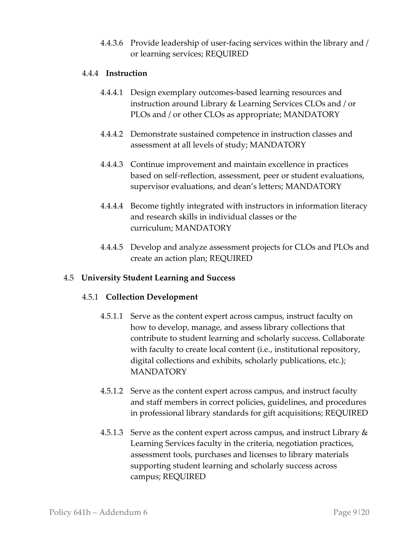4.4.3.6 Provide leadership of user-facing services within the library and / or learning services; REQUIRED

# 4.4.4 **Instruction**

- 4.4.4.1 Design exemplary outcomes-based learning resources and instruction around Library & Learning Services CLOs and / or PLOs and / or other CLOs as appropriate; MANDATORY
- 4.4.4.2 Demonstrate sustained competence in instruction classes and assessment at all levels of study; MANDATORY
- 4.4.4.3 Continue improvement and maintain excellence in practices based on self-reflection, assessment, peer or student evaluations, supervisor evaluations, and dean's letters; MANDATORY
- 4.4.4.4 Become tightly integrated with instructors in information literacy and research skills in individual classes or the curriculum; MANDATORY
- 4.4.4.5 Develop and analyze assessment projects for CLOs and PLOs and create an action plan; REQUIRED

#### 4.5 **University Student Learning and Success**

#### 4.5.1 **Collection Development**

- 4.5.1.1 Serve as the content expert across campus, instruct faculty on how to develop, manage, and assess library collections that contribute to student learning and scholarly success. Collaborate with faculty to create local content (i.e., institutional repository, digital collections and exhibits, scholarly publications, etc.); MANDATORY
- 4.5.1.2 Serve as the content expert across campus, and instruct faculty and staff members in correct policies, guidelines, and procedures in professional library standards for gift acquisitions; REQUIRED
- 4.5.1.3 Serve as the content expert across campus, and instruct Library  $\&$ Learning Services faculty in the criteria, negotiation practices, assessment tools, purchases and licenses to library materials supporting student learning and scholarly success across campus; REQUIRED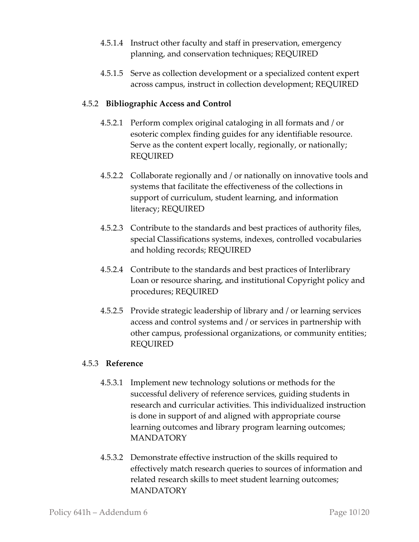- 4.5.1.4 Instruct other faculty and staff in preservation, emergency planning, and conservation techniques; REQUIRED
- 4.5.1.5 Serve as collection development or a specialized content expert across campus, instruct in collection development; REQUIRED

# 4.5.2 **Bibliographic Access and Control**

- 4.5.2.1 Perform complex original cataloging in all formats and / or esoteric complex finding guides for any identifiable resource. Serve as the content expert locally, regionally, or nationally; REQUIRED
- 4.5.2.2 Collaborate regionally and / or nationally on innovative tools and systems that facilitate the effectiveness of the collections in support of curriculum, student learning, and information literacy; REQUIRED
- 4.5.2.3 Contribute to the standards and best practices of authority files, special Classifications systems, indexes, controlled vocabularies and holding records; REQUIRED
- 4.5.2.4 Contribute to the standards and best practices of Interlibrary Loan or resource sharing, and institutional Copyright policy and procedures; REQUIRED
- 4.5.2.5 Provide strategic leadership of library and / or learning services access and control systems and / or services in partnership with other campus, professional organizations, or community entities; REQUIRED

#### 4.5.3 **Reference**

- 4.5.3.1 Implement new technology solutions or methods for the successful delivery of reference services, guiding students in research and curricular activities. This individualized instruction is done in support of and aligned with appropriate course learning outcomes and library program learning outcomes; MANDATORY
- 4.5.3.2 Demonstrate effective instruction of the skills required to effectively match research queries to sources of information and related research skills to meet student learning outcomes; **MANDATORY**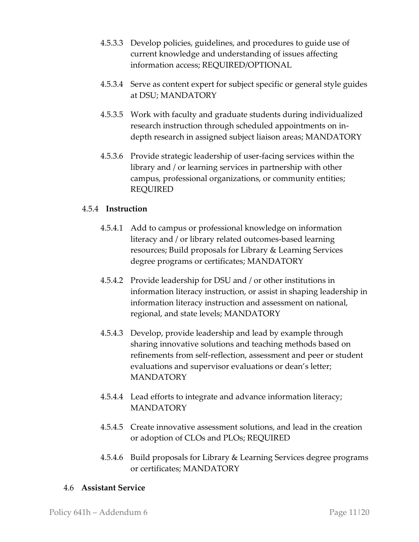- 4.5.3.3 Develop policies, guidelines, and procedures to guide use of current knowledge and understanding of issues affecting information access; REQUIRED/OPTIONAL
- 4.5.3.4 Serve as content expert for subject specific or general style guides at DSU; MANDATORY
- 4.5.3.5 Work with faculty and graduate students during individualized research instruction through scheduled appointments on indepth research in assigned subject liaison areas; MANDATORY
- 4.5.3.6 Provide strategic leadership of user-facing services within the library and / or learning services in partnership with other campus, professional organizations, or community entities; REQUIRED

# 4.5.4 **Instruction**

- 4.5.4.1 Add to campus or professional knowledge on information literacy and / or library related outcomes-based learning resources; Build proposals for Library & Learning Services degree programs or certificates; MANDATORY
- 4.5.4.2 Provide leadership for DSU and / or other institutions in information literacy instruction, or assist in shaping leadership in information literacy instruction and assessment on national, regional, and state levels; MANDATORY
- 4.5.4.3 Develop, provide leadership and lead by example through sharing innovative solutions and teaching methods based on refinements from self-reflection, assessment and peer or student evaluations and supervisor evaluations or dean's letter; MANDATORY
- 4.5.4.4 Lead efforts to integrate and advance information literacy; MANDATORY
- 4.5.4.5 Create innovative assessment solutions, and lead in the creation or adoption of CLOs and PLOs; REQUIRED
- 4.5.4.6 Build proposals for Library & Learning Services degree programs or certificates; MANDATORY

#### 4.6 **Assistant Service**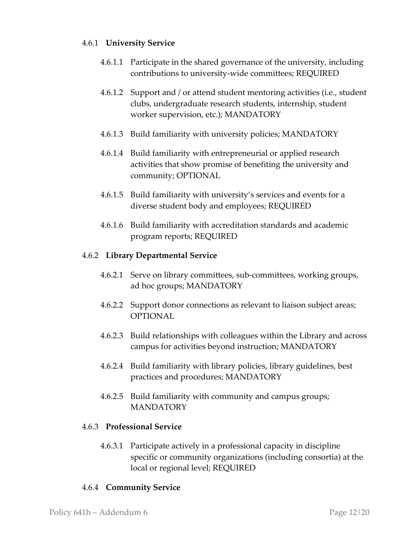#### 4.6.1 **University Service**

- 4.6.1.1 Participate in the shared governance of the university, including contributions to university-wide committees; REQUIRED
- 4.6.1.2 Support and / or attend student mentoring activities (i.e., student clubs, undergraduate research students, internship, student worker supervision, etc.); MANDATORY
- 4.6.1.3 Build familiarity with university policies; MANDATORY
- 4.6.1.4 Build familiarity with entrepreneurial or applied research activities that show promise of benefiting the university and community; OPTIONAL
- 4.6.1.5 Build familiarity with university's services and events for a diverse student body and employees; REQUIRED
- 4.6.1.6 Build familiarity with accreditation standards and academic program reports; REQUIRED

#### 4.6.2 **Library Departmental Service**

- 4.6.2.1 Serve on library committees, sub-committees, working groups, ad hoc groups; MANDATORY
- 4.6.2.2 Support donor connections as relevant to liaison subject areas; OPTIONAL
- 4.6.2.3 Build relationships with colleagues within the Library and across campus for activities beyond instruction; MANDATORY
- 4.6.2.4 Build familiarity with library policies, library guidelines, best practices and procedures; MANDATORY
- 4.6.2.5 Build familiarity with community and campus groups; **MANDATORY**

# 4.6.3 **Professional Service**

4.6.3.1 Participate actively in a professional capacity in discipline specific or community organizations (including consortia) at the local or regional level; REQUIRED

# 4.6.4 **Community Service**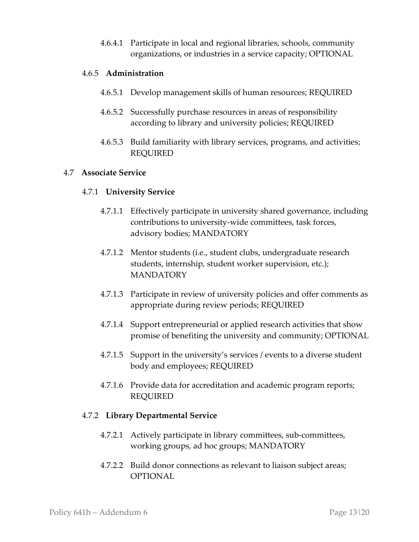4.6.4.1 Participate in local and regional libraries, schools, community organizations, or industries in a service capacity; OPTIONAL

# 4.6.5 **Administration**

- 4.6.5.1 Develop management skills of human resources; REQUIRED
- 4.6.5.2 Successfully purchase resources in areas of responsibility according to library and university policies; REQUIRED
- 4.6.5.3 Build familiarity with library services, programs, and activities; REQUIRED

# 4.7 **Associate Service**

# 4.7.1 **University Service**

- 4.7.1.1 Effectively participate in university shared governance, including contributions to university-wide committees, task forces, advisory bodies; MANDATORY
- 4.7.1.2 Mentor students (i.e., student clubs, undergraduate research students, internship, student worker supervision, etc.); **MANDATORY**
- 4.7.1.3 Participate in review of university policies and offer comments as appropriate during review periods; REQUIRED
- 4.7.1.4 Support entrepreneurial or applied research activities that show promise of benefiting the university and community; OPTIONAL
- 4.7.1.5 Support in the university's services / events to a diverse student body and employees; REQUIRED
- 4.7.1.6 Provide data for accreditation and academic program reports; REQUIRED

#### 4.7.2 **Library Departmental Service**

- 4.7.2.1 Actively participate in library committees, sub-committees, working groups, ad hoc groups; MANDATORY
- 4.7.2.2 Build donor connections as relevant to liaison subject areas; **OPTIONAL**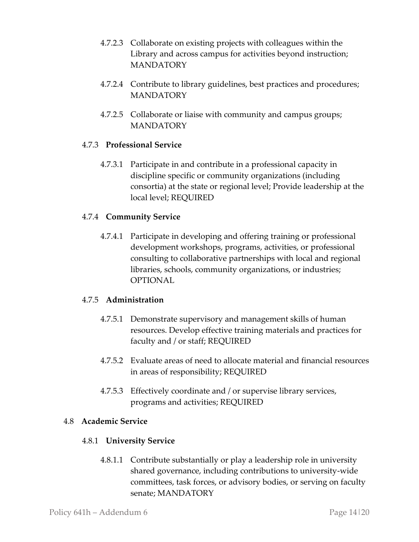- 4.7.2.3 Collaborate on existing projects with colleagues within the Library and across campus for activities beyond instruction; **MANDATORY**
- 4.7.2.4 Contribute to library guidelines, best practices and procedures; **MANDATORY**
- 4.7.2.5 Collaborate or liaise with community and campus groups; MANDATORY

# 4.7.3 **Professional Service**

4.7.3.1 Participate in and contribute in a professional capacity in discipline specific or community organizations (including consortia) at the state or regional level; Provide leadership at the local level; REQUIRED

# 4.7.4 **Community Service**

4.7.4.1 Participate in developing and offering training or professional development workshops, programs, activities, or professional consulting to collaborative partnerships with local and regional libraries, schools, community organizations, or industries; OPTIONAL

#### 4.7.5 **Administration**

- 4.7.5.1 Demonstrate supervisory and management skills of human resources. Develop effective training materials and practices for faculty and / or staff; REQUIRED
- 4.7.5.2 Evaluate areas of need to allocate material and financial resources in areas of responsibility; REQUIRED
- 4.7.5.3 Effectively coordinate and / or supervise library services, programs and activities; REQUIRED

#### 4.8 **Academic Service**

#### 4.8.1 **University Service**

4.8.1.1 Contribute substantially or play a leadership role in university shared governance, including contributions to university-wide committees, task forces, or advisory bodies, or serving on faculty senate; MANDATORY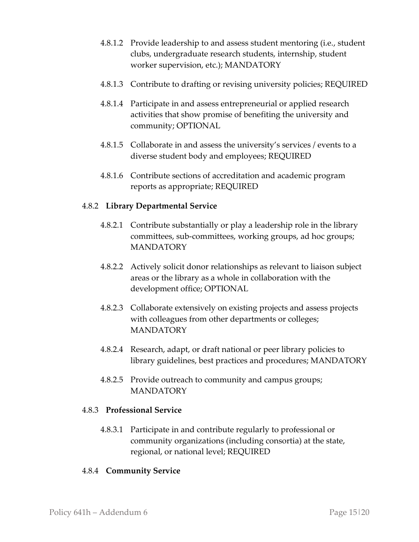- 4.8.1.2 Provide leadership to and assess student mentoring (i.e., student clubs, undergraduate research students, internship, student worker supervision, etc.); MANDATORY
- 4.8.1.3 Contribute to drafting or revising university policies; REQUIRED
- 4.8.1.4 Participate in and assess entrepreneurial or applied research activities that show promise of benefiting the university and community; OPTIONAL
- 4.8.1.5 Collaborate in and assess the university's services / events to a diverse student body and employees; REQUIRED
- 4.8.1.6 Contribute sections of accreditation and academic program reports as appropriate; REQUIRED

# 4.8.2 **Library Departmental Service**

- 4.8.2.1 Contribute substantially or play a leadership role in the library committees, sub-committees, working groups, ad hoc groups; **MANDATORY**
- 4.8.2.2 Actively solicit donor relationships as relevant to liaison subject areas or the library as a whole in collaboration with the development office; OPTIONAL
- 4.8.2.3 Collaborate extensively on existing projects and assess projects with colleagues from other departments or colleges; MANDATORY
- 4.8.2.4 Research, adapt, or draft national or peer library policies to library guidelines, best practices and procedures; MANDATORY
- 4.8.2.5 Provide outreach to community and campus groups; **MANDATORY**

#### 4.8.3 **Professional Service**

4.8.3.1 Participate in and contribute regularly to professional or community organizations (including consortia) at the state, regional, or national level; REQUIRED

# 4.8.4 **Community Service**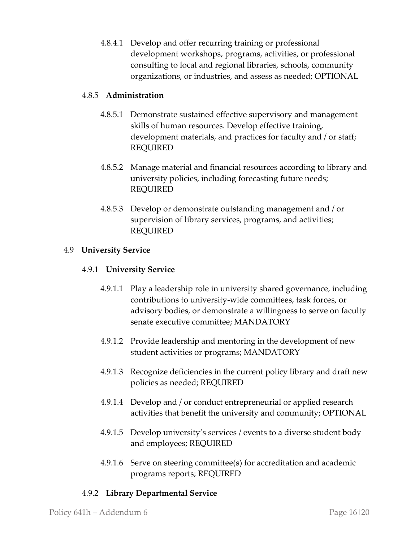4.8.4.1 Develop and offer recurring training or professional development workshops, programs, activities, or professional consulting to local and regional libraries, schools, community organizations, or industries, and assess as needed; OPTIONAL

# 4.8.5 **Administration**

- 4.8.5.1 Demonstrate sustained effective supervisory and management skills of human resources. Develop effective training, development materials, and practices for faculty and / or staff; REQUIRED
- 4.8.5.2 Manage material and financial resources according to library and university policies, including forecasting future needs; REQUIRED
- 4.8.5.3 Develop or demonstrate outstanding management and / or supervision of library services, programs, and activities; REQUIRED

# 4.9 **University Service**

# 4.9.1 **University Service**

- 4.9.1.1 Play a leadership role in university shared governance, including contributions to university-wide committees, task forces, or advisory bodies, or demonstrate a willingness to serve on faculty senate executive committee; MANDATORY
- 4.9.1.2 Provide leadership and mentoring in the development of new student activities or programs; MANDATORY
- 4.9.1.3 Recognize deficiencies in the current policy library and draft new policies as needed; REQUIRED
- 4.9.1.4 Develop and / or conduct entrepreneurial or applied research activities that benefit the university and community; OPTIONAL
- 4.9.1.5 Develop university's services / events to a diverse student body and employees; REQUIRED
- 4.9.1.6 Serve on steering committee(s) for accreditation and academic programs reports; REQUIRED

# 4.9.2 **Library Departmental Service**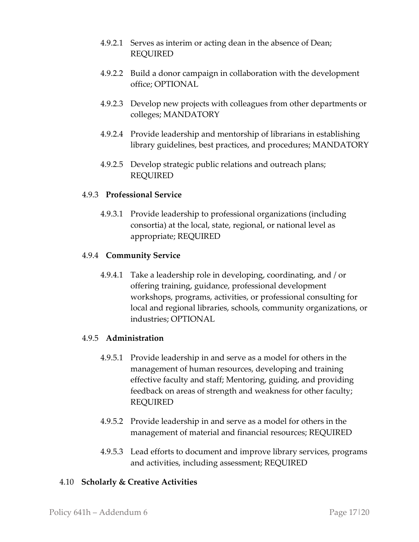- 4.9.2.1 Serves as interim or acting dean in the absence of Dean; REQUIRED
- 4.9.2.2 Build a donor campaign in collaboration with the development office; OPTIONAL
- 4.9.2.3 Develop new projects with colleagues from other departments or colleges; MANDATORY
- 4.9.2.4 Provide leadership and mentorship of librarians in establishing library guidelines, best practices, and procedures; MANDATORY
- 4.9.2.5 Develop strategic public relations and outreach plans; REQUIRED

# 4.9.3 **Professional Service**

4.9.3.1 Provide leadership to professional organizations (including consortia) at the local, state, regional, or national level as appropriate; REQUIRED

# 4.9.4 **Community Service**

4.9.4.1 Take a leadership role in developing, coordinating, and / or offering training, guidance, professional development workshops, programs, activities, or professional consulting for local and regional libraries, schools, community organizations, or industries; OPTIONAL

# 4.9.5 **Administration**

- 4.9.5.1 Provide leadership in and serve as a model for others in the management of human resources, developing and training effective faculty and staff; Mentoring, guiding, and providing feedback on areas of strength and weakness for other faculty; REQUIRED
- 4.9.5.2 Provide leadership in and serve as a model for others in the management of material and financial resources; REQUIRED
- 4.9.5.3 Lead efforts to document and improve library services, programs and activities, including assessment; REQUIRED

# 4.10 **Scholarly & Creative Activities**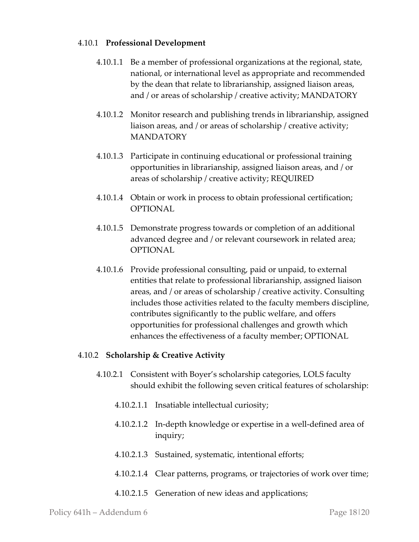#### 4.10.1 **Professional Development**

- 4.10.1.1 Be a member of professional organizations at the regional, state, national, or international level as appropriate and recommended by the dean that relate to librarianship, assigned liaison areas, and / or areas of scholarship / creative activity; MANDATORY
- 4.10.1.2 Monitor research and publishing trends in librarianship, assigned liaison areas, and / or areas of scholarship / creative activity; MANDATORY
- 4.10.1.3 Participate in continuing educational or professional training opportunities in librarianship, assigned liaison areas, and / or areas of scholarship / creative activity; REQUIRED
- 4.10.1.4 Obtain or work in process to obtain professional certification; **OPTIONAL**
- 4.10.1.5 Demonstrate progress towards or completion of an additional advanced degree and / or relevant coursework in related area; OPTIONAL
- 4.10.1.6 Provide professional consulting, paid or unpaid, to external entities that relate to professional librarianship, assigned liaison areas, and / or areas of scholarship / creative activity. Consulting includes those activities related to the faculty members discipline, contributes significantly to the public welfare, and offers opportunities for professional challenges and growth which enhances the effectiveness of a faculty member; OPTIONAL

#### 4.10.2 **Scholarship & Creative Activity**

- 4.10.2.1 Consistent with Boyer's scholarship categories, LOLS faculty should exhibit the following seven critical features of scholarship:
	- 4.10.2.1.1 Insatiable intellectual curiosity;
	- 4.10.2.1.2 In-depth knowledge or expertise in a well-defined area of inquiry;
	- 4.10.2.1.3 Sustained, systematic, intentional efforts;
	- 4.10.2.1.4 Clear patterns, programs, or trajectories of work over time;
	- 4.10.2.1.5 Generation of new ideas and applications;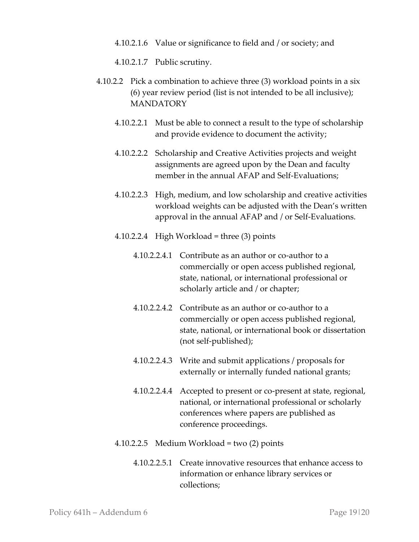4.10.2.1.6 Value or significance to field and / or society; and

4.10.2.1.7 Public scrutiny.

- 4.10.2.2 Pick a combination to achieve three (3) workload points in a six (6) year review period (list is not intended to be all inclusive); MANDATORY
	- 4.10.2.2.1 Must be able to connect a result to the type of scholarship and provide evidence to document the activity;
	- 4.10.2.2.2 Scholarship and Creative Activities projects and weight assignments are agreed upon by the Dean and faculty member in the annual AFAP and Self-Evaluations;
	- 4.10.2.2.3 High, medium, and low scholarship and creative activities workload weights can be adjusted with the Dean's written approval in the annual AFAP and / or Self-Evaluations.
	- 4.10.2.2.4 High Workload = three (3) points
		- 4.10.2.2.4.1 Contribute as an author or co-author to a commercially or open access published regional, state, national, or international professional or scholarly article and / or chapter;
		- 4.10.2.2.4.2 Contribute as an author or co-author to a commercially or open access published regional, state, national, or international book or dissertation (not self-published);
		- 4.10.2.2.4.3 Write and submit applications / proposals for externally or internally funded national grants;
		- 4.10.2.2.4.4 Accepted to present or co-present at state, regional, national, or international professional or scholarly conferences where papers are published as conference proceedings.

#### 4.10.2.2.5 Medium Workload = two (2) points

4.10.2.2.5.1 Create innovative resources that enhance access to information or enhance library services or collections;